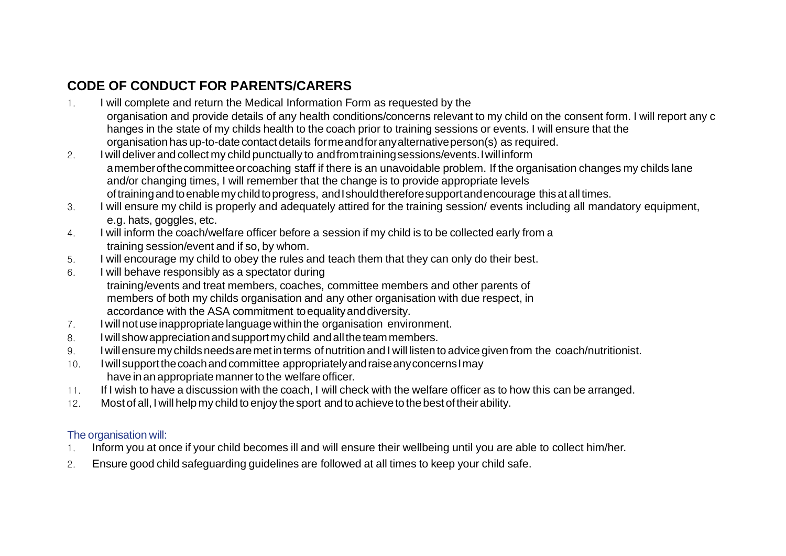## **CODE OF CONDUCT FOR PARENTS/CARERS**

- 1. I will complete and return the Medical Information Form as requested by the organisation and provide details of any health conditions/concerns relevant to my child on the consent form. I will report any c hanges in the state of my childs health to the coach prior to training sessions or events. I will ensure that the organisation has up-to-date contact details formeandforanyalternativeperson(s) as required.
- 2. I will deliver and collect my child punctually to andfromtrainingsessions/events.Iwillinform amemberofthecommitteeorcoaching staff if there is an unavoidable problem. If the organisation changes my childs lane and/or changing times, I will remember that the change is to provide appropriate levels oftrainingandtoenablemychildtoprogress, andIshouldthereforesupportandencourage this at all times.
- 3. I will ensure my child is properly and adequately attired for the training session/ events including all mandatory equipment, e.g. hats, goggles, etc.
- 4. I will inform the coach/welfare officer before a session if my child is to be collected early from a training session/event and if so, by whom.
- 5. I will encourage my child to obey the rules and teach them that they can only do their best.
- 6. I will behave responsibly as a spectator during training/events and treat members, coaches, committee members and other parents of members of both my childs organisation and any other organisation with due respect, in accordance with the ASA commitment toequalityanddiversity.
- 7. Iwill notuse inappropriate languagewithin the organisation environment.
- 8. Iwill showappreciationandsupportmychild andalltheteammembers.
- 9. Iwillensuremy childsneedsaremetinterms of nutrition and I will listen to advice given from the coach/nutritionist.
- 10. Iwillsupportthecoachandcommittee appropriatelyandraiseanyconcernsImay have in an appropriate manner to the welfare officer.
- 11. If I wish to have a discussion with the coach, I will check with the welfare officer as to how this can be arranged.
- 12. Most of all, I will help my child to enjoy the sport andtoachieveto thebest oftheirability.

## The organisation will:

- 1. Inform you at once if your child becomes ill and will ensure their wellbeing until you are able to collect him/her.
- 2. Ensure good child safeguarding guidelines are followed at all times to keep your child safe.